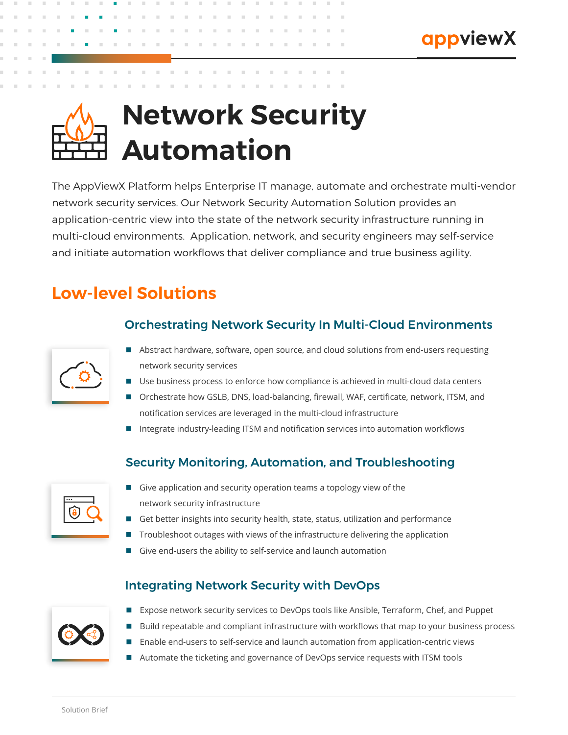# **Network Security Automation**

The AppViewX Platform helps Enterprise IT manage, automate and orchestrate multi-vendor network security services. Our Network Security Automation Solution provides an application-centric view into the state of the network security infrastructure running in multi-cloud environments. Application, network, and security engineers may self-service and initiate automation workflows that deliver compliance and true business agility.

# **Low-level Solutions**

## Orchestrating Network Security In Multi-Cloud Environments

- Abstract hardware, software, open source, and cloud solutions from end-users requesting network security services
- Use business process to enforce how compliance is achieved in multi-cloud data centers
- Orchestrate how GSLB, DNS, load-balancing, firewall, WAF, certificate, network, ITSM, and notification services are leveraged in the multi-cloud infrastructure
- Integrate industry-leading ITSM and notification services into automation workflows

### Security Monitoring, Automation, and Troubleshooting

- Give application and security operation teams a topology view of the network security infrastructure
- Get better insights into security health, state, status, utilization and performance
- Troubleshoot outages with views of the infrastructure delivering the application
- Give end-users the ability to self-service and launch automation

#### Integrating Network Security with DevOps



- Expose network security services to DevOps tools like Ansible, Terraform, Chef, and Puppet
- Build repeatable and compliant infrastructure with workflows that map to your business process
- Enable end-users to self-service and launch automation from application-centric views
- Automate the ticketing and governance of DevOps service requests with ITSM tools